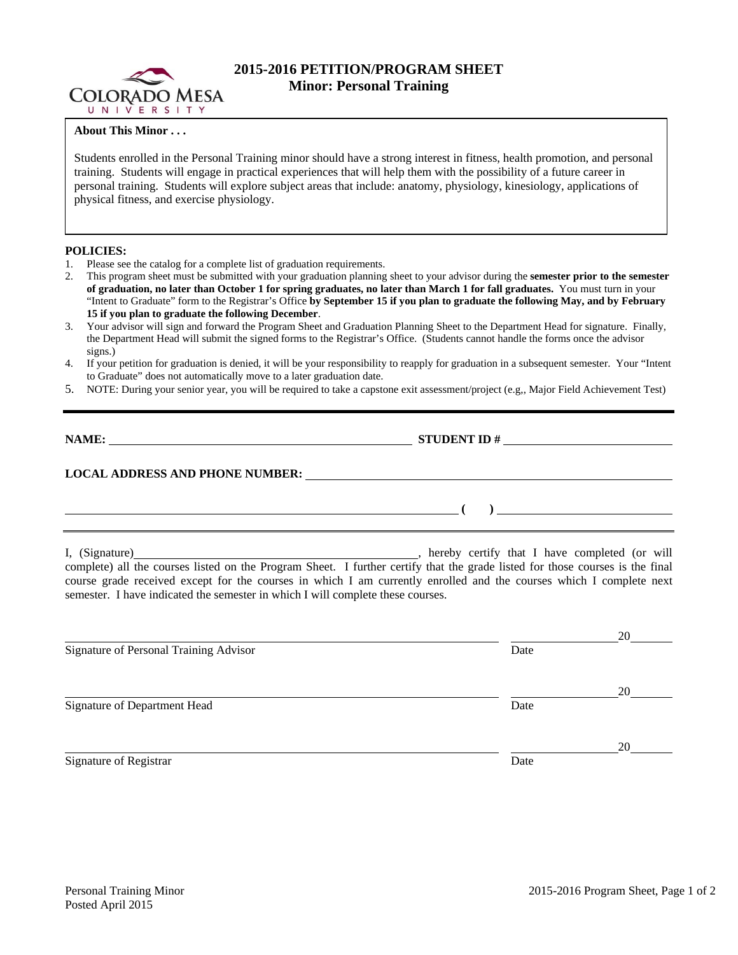

# **2015-2016 PETITION/PROGRAM SHEET Minor: Personal Training**

### **About This Minor . . .**

Students enrolled in the Personal Training minor should have a strong interest in fitness, health promotion, and personal training. Students will engage in practical experiences that will help them with the possibility of a future career in personal training. Students will explore subject areas that include: anatomy, physiology, kinesiology, applications of physical fitness, and exercise physiology.

#### **POLICIES:**

- Please see the catalog for a complete list of graduation requirements.
- 2. This program sheet must be submitted with your graduation planning sheet to your advisor during the **semester prior to the semester of graduation, no later than October 1 for spring graduates, no later than March 1 for fall graduates.** You must turn in your "Intent to Graduate" form to the Registrar's Office **by September 15 if you plan to graduate the following May, and by February 15 if you plan to graduate the following December**.
- 3. Your advisor will sign and forward the Program Sheet and Graduation Planning Sheet to the Department Head for signature. Finally, the Department Head will submit the signed forms to the Registrar's Office. (Students cannot handle the forms once the advisor signs.)
- 4. If your petition for graduation is denied, it will be your responsibility to reapply for graduation in a subsequent semester. Your "Intent to Graduate" does not automatically move to a later graduation date.
- 5. NOTE: During your senior year, you will be required to take a capstone exit assessment/project (e.g,, Major Field Achievement Test)

**NAME: STUDENT ID #**

 **(** )  *( ) ( )* **<b>** *( ) ( ) ( ) ( )* **<b>** *( )*  $\frac{1}{2}$  **(** )  *( )* $\frac{1}{2}$  **<b>**  $\frac{1}{2}$  **l**  $\frac{1}{2}$  **l**  $\frac{1}{2}$  **l**  $\frac{1}{2}$  **l**  $\frac{1}{2}$  **l**  $\frac{1}{2}$  **l**  $\frac{1}{2}$  **l**  $\frac{1}{2}$  **l** 

## **LOCAL ADDRESS AND PHONE NUMBER:**

I, (Signature) **Supplemance 1.** (Signature) **COVERT** COVERT 1 have completed (or will complete) all the courses listed on the Program Sheet. I further certify that the grade listed for those courses is the final course grade received except for the courses in which I am currently enrolled and the courses which I complete next semester. I have indicated the semester in which I will complete these courses.

| Signature of Personal Training Advisor | Date | 20 |
|----------------------------------------|------|----|
|                                        |      | 20 |
| Signature of Department Head           | Date |    |
| Signature of Registrar                 | Date | 20 |